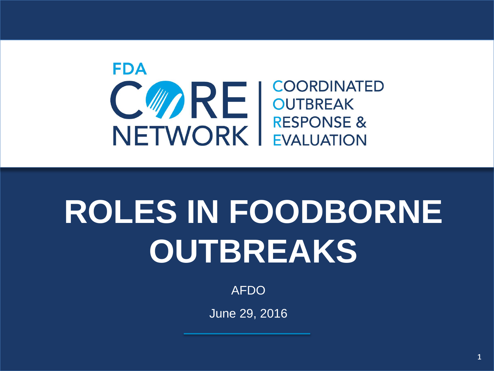

# **ROLES IN FOODBORNE OUTBREAKS**

AFDO

June 29, 2016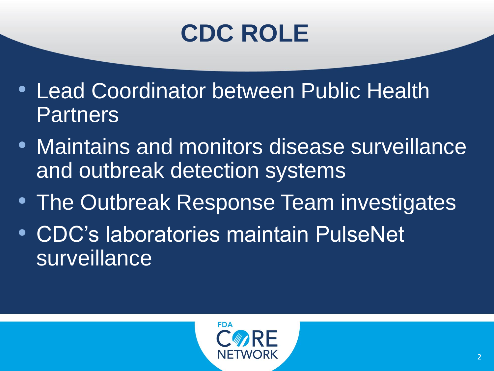## **CDC ROLE**

- Lead Coordinator between Public Health Partners
- Maintains and monitors disease surveillance and outbreak detection systems
- The Outbreak Response Team investigates
- CDC's laboratories maintain PulseNet surveillance

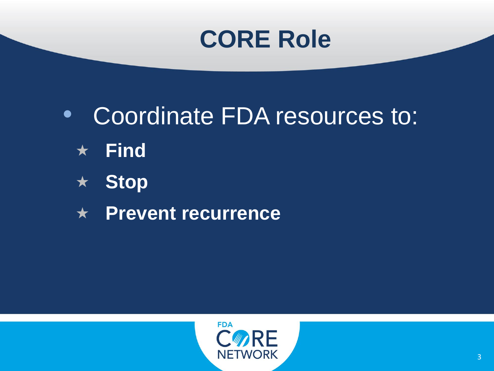### **CORE Role**

- Coordinate FDA resources to:
	- **Find**
	- **Stop**
	- **Prevent recurrence**

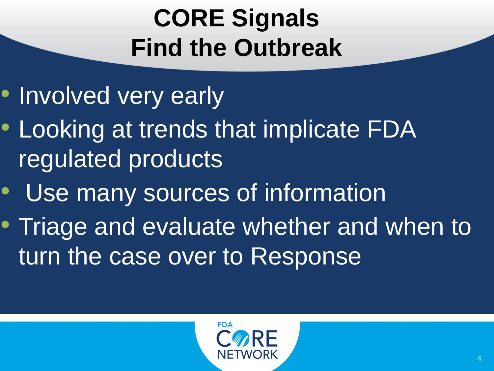# **CORE Signals Find the Outbreak**

- Involved very early
- Looking at trends that implicate FDA regulated products
- Use many sources of information
- Triage and evaluate whether and when to turn the case over to Response

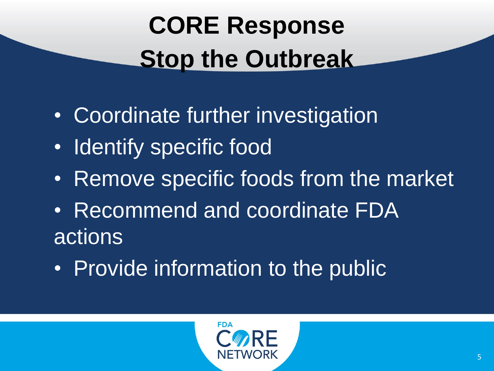# **CORE Response Stop the Outbreak**

- Coordinate further investigation
- Identify specific food
- Remove specific foods from the market
- Recommend and coordinate FDA actions
- Provide information to the public

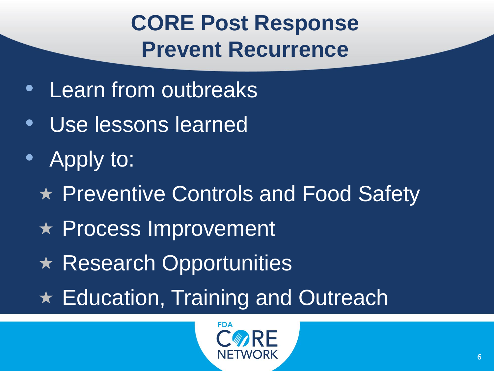### **CORE Post Response Prevent Recurrence**

- Learn from outbreaks
- Use lessons learned
- Apply to:
	- ★ Preventive Controls and Food Safety
	- Process Improvement
	- $\star$  Research Opportunities
	- ★ Education, Training and Outreach

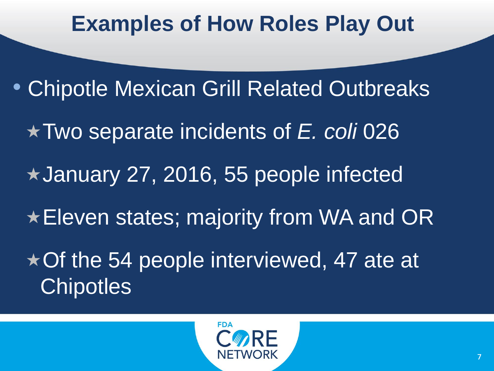#### **Examples of How Roles Play Out**

• Chipotle Mexican Grill Related Outbreaks Two separate incidents of *E. coli* 026 January 27, 2016, 55 people infected **★Eleven states; majority from WA and OR** ★ Of the 54 people interviewed, 47 ate at **Chipotles** 

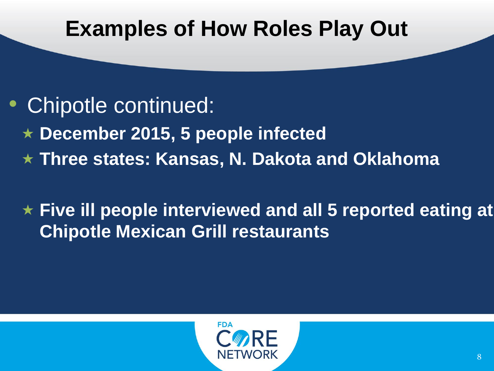#### **Examples of How Roles Play Out**

#### • Chipotle continued:

- **December 2015, 5 people infected**
- **Three states: Kansas, N. Dakota and Oklahoma**

#### **Five ill people interviewed and all 5 reported eating at Chipotle Mexican Grill restaurants**

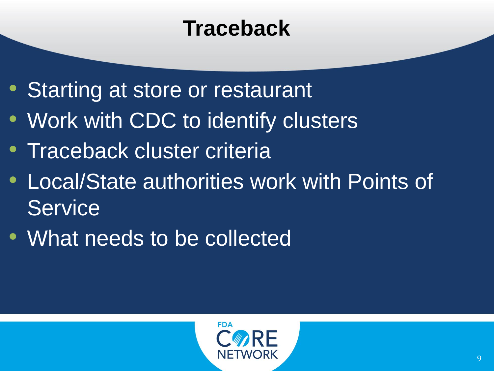### **Traceback**

- Starting at store or restaurant
- Work with CDC to identify clusters
- Traceback cluster criteria
- Local/State authorities work with Points of **Service**
- What needs to be collected